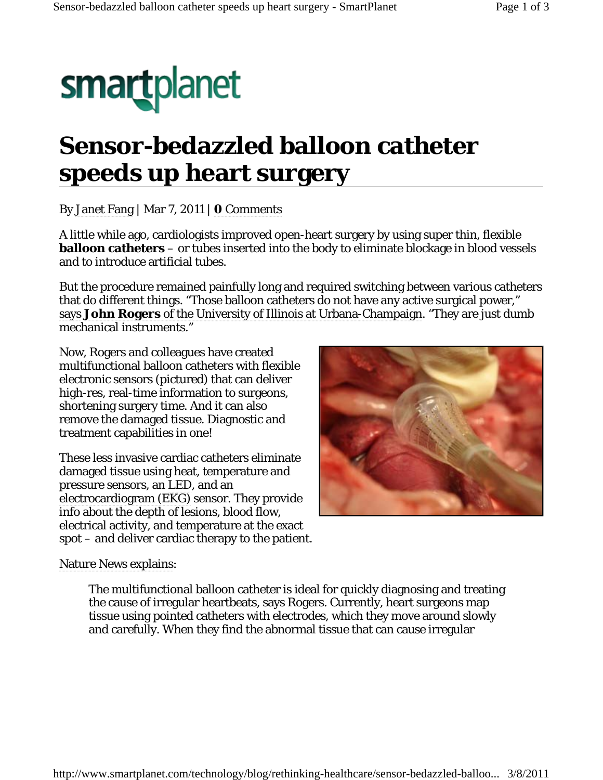# smartplanet

# **Sensor-bedazzled balloon catheter speeds up heart surgery**

By Janet Fang | Mar 7, 2011 | **0** Comments

A little while ago, cardiologists improved open-heart surgery by using super thin, flexible **balloon catheters** – or tubes inserted into the body to eliminate blockage in blood vessels and to introduce artificial tubes.

But the procedure remained painfully long and required switching between various catheters that do different things. "Those balloon catheters do not have any active surgical power," says **John Rogers** of the University of Illinois at Urbana-Champaign. "They are just dumb mechanical instruments."

Now, Rogers and colleagues have created multifunctional balloon catheters with flexible electronic sensors (pictured) that can deliver high-res, real-time information to surgeons, shortening surgery time. And it can also remove the damaged tissue. Diagnostic and treatment capabilities in one!

These less invasive cardiac catheters eliminate damaged tissue using heat, temperature and pressure sensors, an LED, and an electrocardiogram (EKG) sensor. They provide info about the depth of lesions, blood flow, electrical activity, and temperature at the exact spot – and deliver cardiac therapy to the patient.



Nature News explains:

The multifunctional balloon catheter is ideal for quickly diagnosing and treating the cause of irregular heartbeats, says Rogers. Currently, heart surgeons map tissue using pointed catheters with electrodes, which they move around slowly and carefully. When they find the abnormal tissue that can cause irregular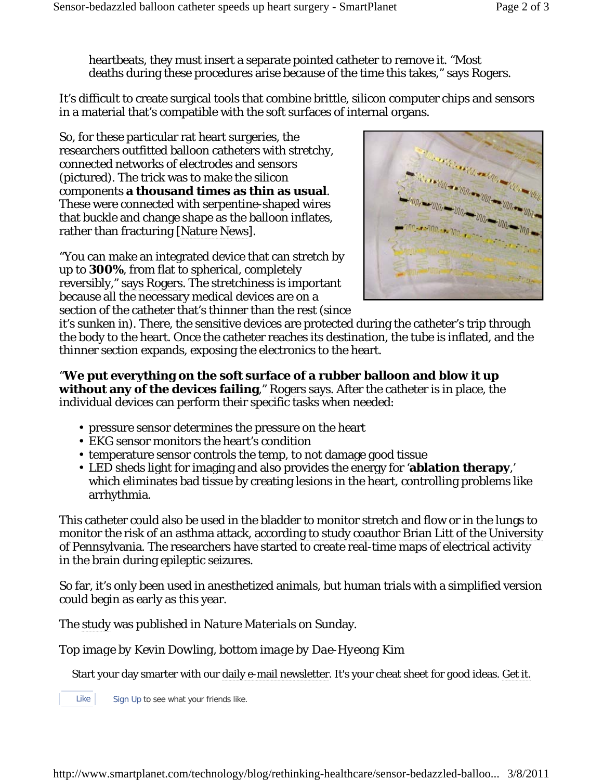heartbeats, they must insert a separate pointed catheter to remove it. "Most deaths during these procedures arise because of the time this takes," says Rogers.

It's difficult to create surgical tools that combine brittle, silicon computer chips and sensors in a material that's compatible with the soft surfaces of internal organs.

So, for these particular rat heart surgeries, the researchers outfitted balloon catheters with stretchy, connected networks of electrodes and sensors (pictured). The trick was to make the silicon components **a thousand times as thin as usual**. These were connected with serpentine-shaped wires that buckle and change shape as the balloon inflates, rather than fracturing [Nature News].

"You can make an integrated device that can stretch by up to **300%**, from flat to spherical, completely reversibly," says Rogers. The stretchiness is important because all the necessary medical devices are on a section of the catheter that's thinner than the rest (since



it's sunken in). There, the sensitive devices are protected during the catheter's trip through the body to the heart. Once the catheter reaches its destination, the tube is inflated, and the thinner section expands, exposing the electronics to the heart.

"**We put everything on the soft surface of a rubber balloon and blow it up without any of the devices failing**," Rogers says. After the catheter is in place, the individual devices can perform their specific tasks when needed:

- pressure sensor determines the pressure on the heart
- EKG sensor monitors the heart's condition
- temperature sensor controls the temp, to not damage good tissue
- LED sheds light for imaging and also provides the energy for '**ablation therapy**,' which eliminates bad tissue by creating lesions in the heart, controlling problems like arrhythmia.

This catheter could also be used in the bladder to monitor stretch and flow or in the lungs to monitor the risk of an asthma attack, according to study coauthor Brian Litt of the University of Pennsylvania. The researchers have started to create real-time maps of electrical activity in the brain during epileptic seizures.

So far, it's only been used in anesthetized animals, but human trials with a simplified version could begin as early as this year.

The study was published in *Nature Materials* on Sunday.

*Top image by Kevin Dowling, bottom image by Dae-Hyeong Kim*

Start your day smarter with our daily e-mail newsletter. It's your cheat sheet for good ideas. Get it.

Like Sign Up to see what your friends like.